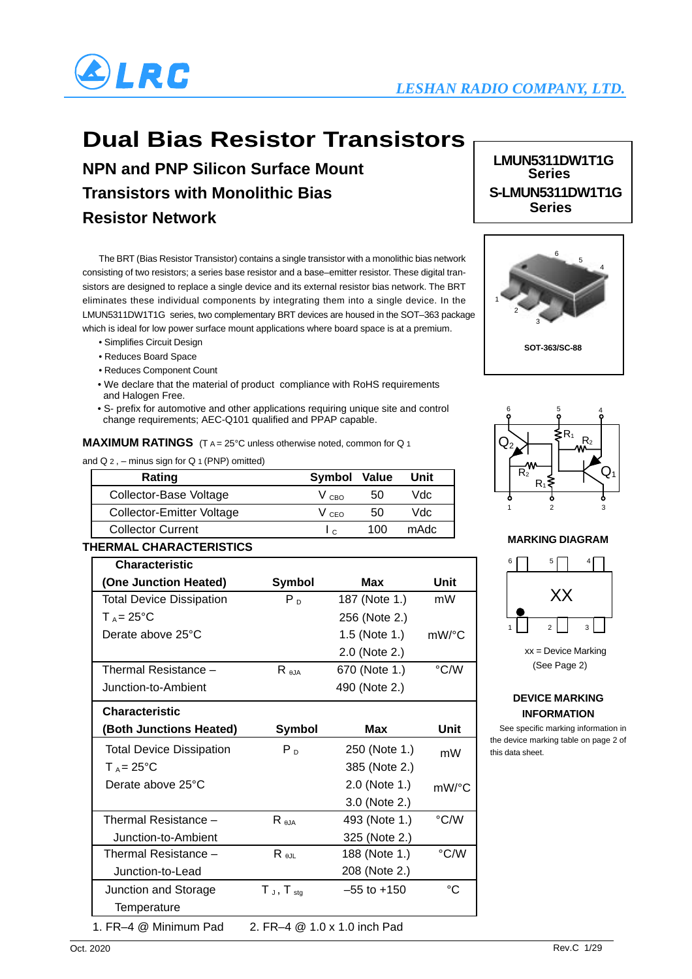

# **Dual Bias Resistor Transistors**

**NPN and PNP Silicon Surface Mount Transistors with Monolithic Bias Resistor Network**

The BRT (Bias Resistor Transistor) contains a single transistor with a monolithic bias network 5 consisting of two resistors; a series base resistor and a base–emitter resistor. These digital transistors are designed to replace a single device and its external resistor bias network. The BRT eliminates these individual components by integrating them into a single device. In the LMUN5311DW1T1G series, two complementary BRT devices are housed in the SOT–363 package which is ideal for low power surface mount applications where board space is at a premium.

- Simplifies Circuit Design
- Reduces Board Space
- Reduces Component Count
- We declare that the material of product compliance with RoHS requirements and Halogen Free.
- S- prefix for automotive and other applications requiring unique site and control change requirements; AEC-Q101 qualified and PPAP capable.

**MAXIMUM RATINGS** (T A = 25°C unless otherwise noted, common for Q 1)

and  $Q_2$  , – minus sign for  $Q_1$  (PNP) omitted)

| Rating                           | Symbol Value |     | Unit |
|----------------------------------|--------------|-----|------|
| Collector-Base Voltage           | V CBO        | 50  | Vdc. |
| <b>Collector-Emitter Voltage</b> | V ceo        | 50  | Vdc. |
| <b>Collector Current</b>         | <sub>c</sub> | 100 | mAdc |

#### **THERMAL CHARACTERISTICS**

| <b>Characteristic</b>                                 |                   |                 |               |  |
|-------------------------------------------------------|-------------------|-----------------|---------------|--|
| (One Junction Heated)                                 | Symbol            | Max             | Unit          |  |
| <b>Total Device Dissipation</b>                       | $P_{D}$           | 187 (Note 1.)   | mW            |  |
| $T_A = 25^{\circ}C$                                   |                   | 256 (Note 2.)   |               |  |
| Derate above 25°C                                     |                   | 1.5 (Note 1.)   | mW/°C         |  |
|                                                       |                   | 2.0 (Note 2.)   |               |  |
| Thermal Resistance -                                  | $R_{\theta JA}$   | 670 (Note 1.)   | °C/W          |  |
| Junction-to-Ambient                                   |                   | 490 (Note 2.)   |               |  |
| <b>Characteristic</b>                                 |                   |                 |               |  |
| (Both Junctions Heated)                               | Symbol            | Max             | Unit          |  |
| <b>Total Device Dissipation</b>                       | $P_{D}$           | 250 (Note 1.)   | mW            |  |
| $T_A = 25^{\circ}C$                                   |                   | 385 (Note 2.)   |               |  |
| Derate above 25°C                                     |                   | 2.0 (Note 1.)   | $mW$ /°C      |  |
|                                                       |                   | 3.0 (Note 2.)   |               |  |
| Thermal Resistance -                                  | $R_{\theta JA}$   | 493 (Note 1.)   | °C/W          |  |
| Junction-to-Ambient                                   |                   | 325 (Note 2.)   |               |  |
| Thermal Resistance –                                  | $R_{\theta JL}$   | 188 (Note 1.)   | $\degree$ C/W |  |
| Junction-to-Lead                                      |                   | 208 (Note 2.)   |               |  |
| Junction and Storage                                  | $T_J$ , $T_{stg}$ | $-55$ to $+150$ | °C            |  |
| Temperature                                           |                   |                 |               |  |
| 1. FR-4 @ Minimum Pad<br>2. FR-4 @ 1.0 x 1.0 inch Pad |                   |                 |               |  |

**LMUN5311DW1T1G Series S-LMUN5311DW1T1G Series**





#### **MARKING DIAGRAM**



xx = Device Marking (See Page 2)

#### **DEVICE MARKING INFORMATION**

 See specific marking information in the device marking table on page 2 of this data sheet.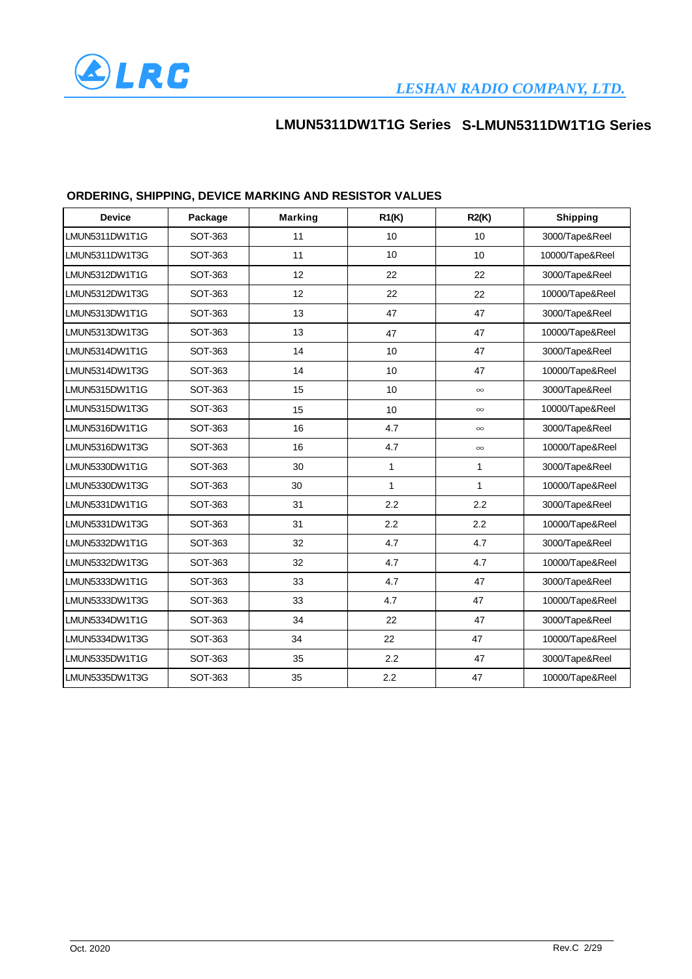

| <b>Device</b>  | Package | <b>Marking</b> | R1(K)        | R2(K)        | <b>Shipping</b> |
|----------------|---------|----------------|--------------|--------------|-----------------|
| LMUN5311DW1T1G | SOT-363 | 11             | 10           | 10           | 3000/Tape&Reel  |
| LMUN5311DW1T3G | SOT-363 | 11             | 10           | 10           | 10000/Tape&Reel |
| LMUN5312DW1T1G | SOT-363 | 12             | 22           | 22           | 3000/Tape&Reel  |
| LMUN5312DW1T3G | SOT-363 | 12             | 22           | 22           | 10000/Tape&Reel |
| LMUN5313DW1T1G | SOT-363 | 13             | 47           | 47           | 3000/Tape&Reel  |
| LMUN5313DW1T3G | SOT-363 | 13             | 47           | 47           | 10000/Tape&Reel |
| LMUN5314DW1T1G | SOT-363 | 14             | 10           | 47           | 3000/Tape&Reel  |
| LMUN5314DW1T3G | SOT-363 | 14             | 10           | 47           | 10000/Tape&Reel |
| LMUN5315DW1T1G | SOT-363 | 15             | 10           | $\infty$     | 3000/Tape&Reel  |
| LMUN5315DW1T3G | SOT-363 | 15             | 10           | $\infty$     | 10000/Tape&Reel |
| LMUN5316DW1T1G | SOT-363 | 16             | 4.7          | $\infty$     | 3000/Tape&Reel  |
| LMUN5316DW1T3G | SOT-363 | 16             | 4.7          | $\infty$     | 10000/Tape&Reel |
| LMUN5330DW1T1G | SOT-363 | 30             | $\mathbf{1}$ | $\mathbf{1}$ | 3000/Tape&Reel  |
| LMUN5330DW1T3G | SOT-363 | 30             | $\mathbf{1}$ | $\mathbf{1}$ | 10000/Tape&Reel |
| LMUN5331DW1T1G | SOT-363 | 31             | 2.2          | 2.2          | 3000/Tape&Reel  |
| LMUN5331DW1T3G | SOT-363 | 31             | 2.2          | 2.2          | 10000/Tape&Reel |
| LMUN5332DW1T1G | SOT-363 | 32             | 4.7          | 4.7          | 3000/Tape&Reel  |
| LMUN5332DW1T3G | SOT-363 | 32             | 4.7          | 4.7          | 10000/Tape&Reel |
| LMUN5333DW1T1G | SOT-363 | 33             | 4.7          | 47           | 3000/Tape&Reel  |
| LMUN5333DW1T3G | SOT-363 | 33             | 4.7          | 47           | 10000/Tape&Reel |
| LMUN5334DW1T1G | SOT-363 | 34             | 22           | 47           | 3000/Tape&Reel  |
| LMUN5334DW1T3G | SOT-363 | 34             | 22           | 47           | 10000/Tape&Reel |
| LMUN5335DW1T1G | SOT-363 | 35             | 2.2          | 47           | 3000/Tape&Reel  |
| LMUN5335DW1T3G | SOT-363 | 35             | 2.2          | 47           | 10000/Tape&Reel |

### **ORDERING, SHIPPING, DEVICE MARKING AND RESISTOR VALUES**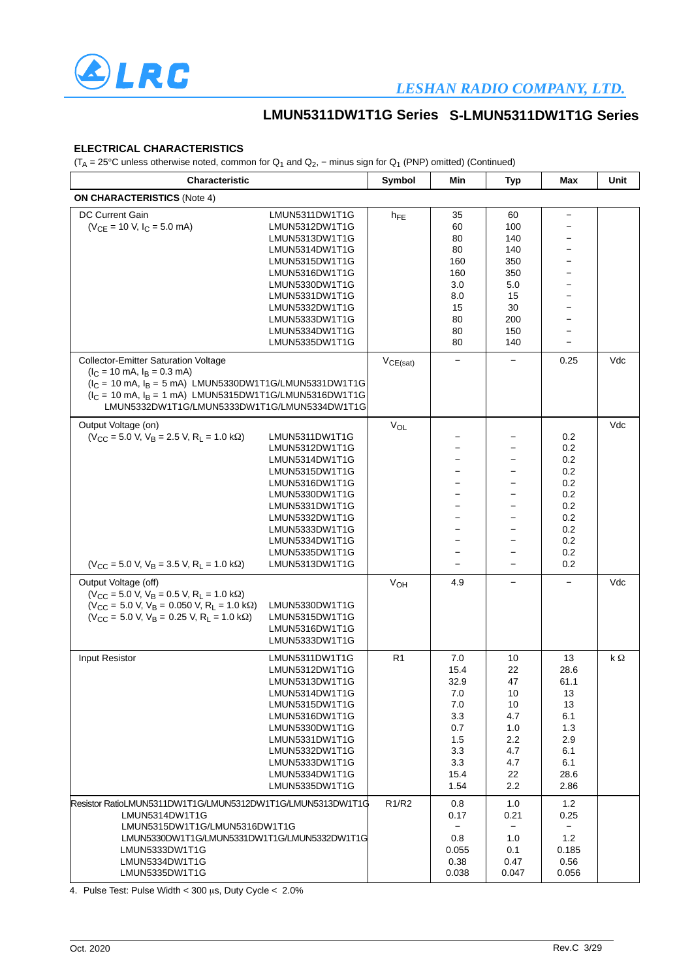

### *LESHAN RADIO COMPANY, LTD.*

### **LMUN5311DW1T1G Series S-LMUN5311DW1T1G Series**

#### **ELECTRICAL CHARACTERISTICS**

(T<sub>A</sub> = 25°C unless otherwise noted, common for  $Q_1$  and  $Q_2$ , − minus sign for  $Q_1$  (PNP) omitted) (Continued)

| Characteristic                                                                                                                                                                                                                                                                                         |                                                                                                                                                                                                                      | Symbol                         | Min                                                                                  | <b>Typ</b>                                                                         | Max                                                                               | Unit |
|--------------------------------------------------------------------------------------------------------------------------------------------------------------------------------------------------------------------------------------------------------------------------------------------------------|----------------------------------------------------------------------------------------------------------------------------------------------------------------------------------------------------------------------|--------------------------------|--------------------------------------------------------------------------------------|------------------------------------------------------------------------------------|-----------------------------------------------------------------------------------|------|
| <b>ON CHARACTERISTICS (Note 4)</b>                                                                                                                                                                                                                                                                     |                                                                                                                                                                                                                      |                                |                                                                                      |                                                                                    |                                                                                   |      |
| <b>DC Current Gain</b><br>$(V_{CE} = 10 V, I_C = 5.0 mA)$                                                                                                                                                                                                                                              | LMUN5311DW1T1G<br>LMUN5312DW1T1G<br>LMUN5313DW1T1G<br>LMUN5314DW1T1G<br>LMUN5315DW1T1G<br>LMUN5316DW1T1G<br>LMUN5330DW1T1G<br>LMUN5331DW1T1G<br>LMUN5332DW1T1G<br>LMUN5333DW1T1G<br>LMUN5334DW1T1G<br>LMUN5335DW1T1G | $h_{FE}$                       | 35<br>60<br>80<br>80<br>160<br>160<br>3.0<br>8.0<br>15<br>80<br>80<br>80             | 60<br>100<br>140<br>140<br>350<br>350<br>5.0<br>15<br>30<br>200<br>150<br>140      | $\qquad \qquad -$                                                                 |      |
| <b>Collector-Emitter Saturation Voltage</b><br>$(I_C = 10 \text{ mA}, I_B = 0.3 \text{ mA})$<br>$(I_C = 10 \text{ mA}, I_B = 5 \text{ mA})$ LMUN5330DW1T1G/LMUN5331DW1T1G<br>$(I_C = 10 \text{ mA}, I_B = 1 \text{ mA})$ LMUN5315DW1T1G/LMUN5316DW1T1G<br>LMUN5332DW1T1G/LMUN5333DW1T1G/LMUN5334DW1T1G |                                                                                                                                                                                                                      | $V_{CE(sat)}$                  |                                                                                      |                                                                                    | 0.25                                                                              | Vdc  |
| Output Voltage (on)<br>$(V_{CC} = 5.0 V, V_B = 2.5 V, R_L = 1.0 k\Omega)$<br>$(V_{CC} = 5.0 V, V_B = 3.5 V, R_L = 1.0 k\Omega)$                                                                                                                                                                        | LMUN5311DW1T1G<br>LMUN5312DW1T1G<br>LMUN5314DW1T1G<br>LMUN5315DW1T1G<br>LMUN5316DW1T1G<br>LMUN5330DW1T1G<br>LMUN5331DW1T1G<br>LMUN5332DW1T1G<br>LMUN5333DW1T1G<br>LMUN5334DW1T1G<br>LMUN5335DW1T1G<br>LMUN5313DW1T1G | VOL                            | $\overline{\phantom{0}}$<br>$\equiv$                                                 |                                                                                    | 0.2<br>0.2<br>0.2<br>0.2<br>0.2<br>0.2<br>0.2<br>0.2<br>0.2<br>0.2<br>0.2<br>0.2  | Vdc  |
| Output Voltage (off)<br>$(V_{\rm CC} = 5.0 \text{ V}, V_{\rm B} = 0.5 \text{ V}, R_{\rm L} = 1.0 \text{ k}\Omega)$<br>$(V_{\rm CC} = 5.0 V, V_{\rm B} = 0.050 V, R_{\rm L} = 1.0 k\Omega)$<br>$(V_{\rm CC} = 5.0 \text{ V}, V_{\rm B} = 0.25 \text{ V}, R_{\rm I} = 1.0 \text{ k}\Omega)$              | LMUN5330DW1T1G<br>LMUN5315DW1T1G<br>LMUN5316DW1T1G<br>LMUN5333DW1T1G                                                                                                                                                 | V <sub>OH</sub>                | 4.9                                                                                  |                                                                                    | $\qquad \qquad -$                                                                 | Vdc  |
| <b>Input Resistor</b>                                                                                                                                                                                                                                                                                  | LMUN5311DW1T1G<br>LMUN5312DW1T1G<br>LMUN5313DW1T1G<br>LMUN5314DW1T1G<br>LMUN5315DW1T1G<br>LMUN5316DW1T1G<br>LMUN5330DW1T1G<br>LMUN5331DW1T1G<br>LMUN5332DW1T1G<br>LMUN5333DW1T1G<br>LMUN5334DW1T1G<br>LMUN5335DW1T1G | R1                             | 7.0<br>15.4<br>32.9<br>7.0<br>7.0<br>3.3<br>0.7<br>1.5<br>3.3<br>3.3<br>15.4<br>1.54 | 10<br>22<br>47<br>10<br>10<br>4.7<br>1.0<br>$2.2\,$<br>4.7<br>4.7<br>22<br>$2.2\,$ | 13<br>28.6<br>61.1<br>13<br>13<br>6.1<br>1.3<br>2.9<br>6.1<br>6.1<br>28.6<br>2.86 | kΩ   |
| Resistor RatioLMUN5311DW1T1G/LMUN5312DW1T1G/LMUN5313DW1T1G<br>LMUN5314DW1T1G<br>LMUN5315DW1T1G/LMUN5316DW1T1G<br>LMUN5330DW1T1G/LMUN5331DW1T1G/LMUN5332DW1T1G<br>LMUN5333DW1T1G<br>LMUN5334DW1T1G<br>LMUN5335DW1T1G                                                                                    |                                                                                                                                                                                                                      | R <sub>1</sub> /R <sub>2</sub> | 0.8<br>0.17<br>0.8<br>0.055<br>0.38<br>0.038                                         | 1.0<br>0.21<br>1.0<br>0.1<br>0.47<br>0.047                                         | 1.2<br>0.25<br>1.2<br>0.185<br>0.56<br>0.056                                      |      |

4. Pulse Test: Pulse Width <  $300 \mu s$ , Duty Cycle <  $2.0\%$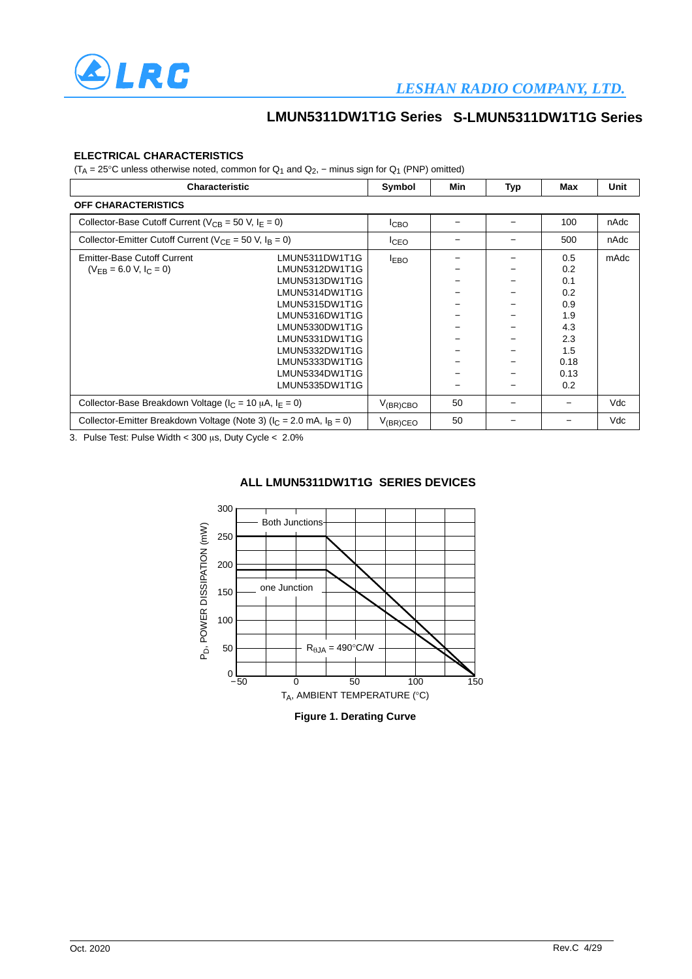

#### **ELECTRICAL CHARACTERISTICS**

(T<sub>A</sub> = 25°C unless otherwise noted, common for  $Q_1$  and  $Q_2$ , – minus sign for  $Q_1$  (PNP) omitted)

| <b>Characteristic</b>                                                      |                                                                                                                                                                                                                      | Symbol           | Min | <b>Typ</b> | Max                                                                         | Unit |
|----------------------------------------------------------------------------|----------------------------------------------------------------------------------------------------------------------------------------------------------------------------------------------------------------------|------------------|-----|------------|-----------------------------------------------------------------------------|------|
| <b>OFF CHARACTERISTICS</b>                                                 |                                                                                                                                                                                                                      |                  |     |            |                                                                             |      |
| Collector-Base Cutoff Current ( $V_{CB}$ = 50 V, $I_F$ = 0)                |                                                                                                                                                                                                                      | I <sub>CBO</sub> |     |            | 100                                                                         | nAdc |
| Collector-Emitter Cutoff Current ( $V_{CF}$ = 50 V, $I_B$ = 0)             |                                                                                                                                                                                                                      | <sup>I</sup> CEO |     |            | 500                                                                         | nAdc |
| <b>Emitter-Base Cutoff Current</b><br>$(V_{FR} = 6.0 V, I_C = 0)$          | LMUN5311DW1T1G<br>LMUN5312DW1T1G<br>LMUN5313DW1T1G<br>LMUN5314DW1T1G<br>LMUN5315DW1T1G<br>LMUN5316DW1T1G<br>LMUN5330DW1T1G<br>LMUN5331DW1T1G<br>LMUN5332DW1T1G<br>LMUN5333DW1T1G<br>LMUN5334DW1T1G<br>LMUN5335DW1T1G | <b>LEBO</b>      |     |            | 0.5<br>0.2<br>0.1<br>0.2<br>0.9<br>1.9<br>4.3<br>2.3<br>1.5<br>0.18<br>0.13 | mAdc |
| Collector-Base Breakdown Voltage ( $I_C = 10 \mu A$ , $I_E = 0$ )          |                                                                                                                                                                                                                      | $V_{(BR)CBO}$    | 50  |            | 0.2                                                                         | Vdc  |
| Collector-Emitter Breakdown Voltage (Note 3) ( $I_C = 2.0$ mA, $I_B = 0$ ) |                                                                                                                                                                                                                      | $V_{(BR)CEO}$    | 50  |            |                                                                             | Vdc  |

3. Pulse Test: Pulse Width < 300  $\mu$ s, Duty Cycle < 2.0%



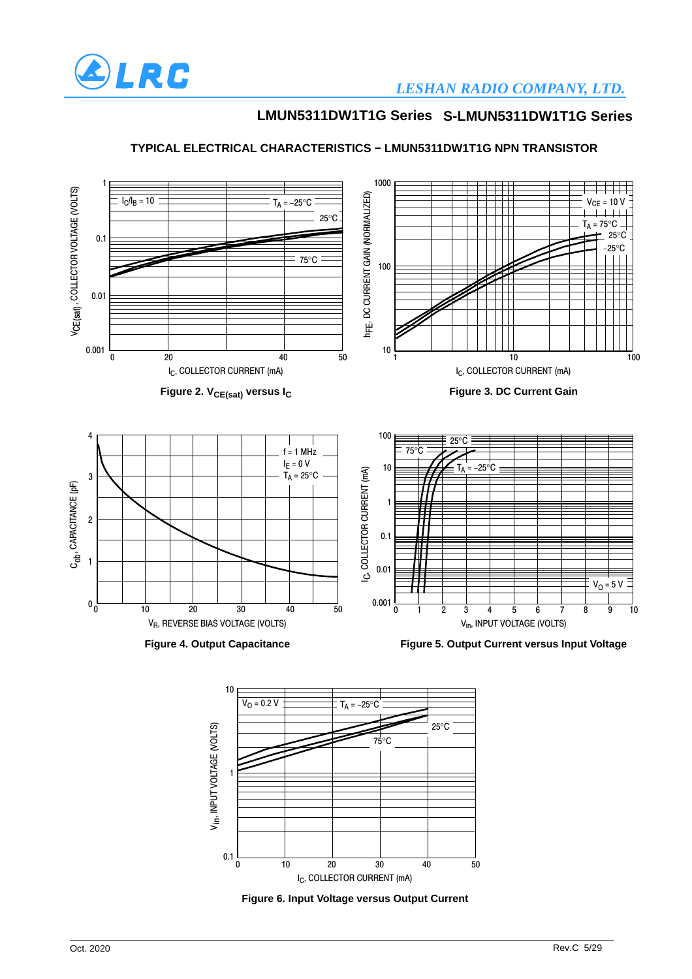

### *LESHAN RADIO COMPANY, LTD.*

### **LMUN5311DW1T1G Series S-LMUN5311DW1T1G Series**



#### **TYPICAL ELECTRICAL CHARACTERISTICS − LMUN5311DW1T1G NPN TRANSISTOR**



40 50

0 20 30 10

1

 $0.1 \frac{L}{0}$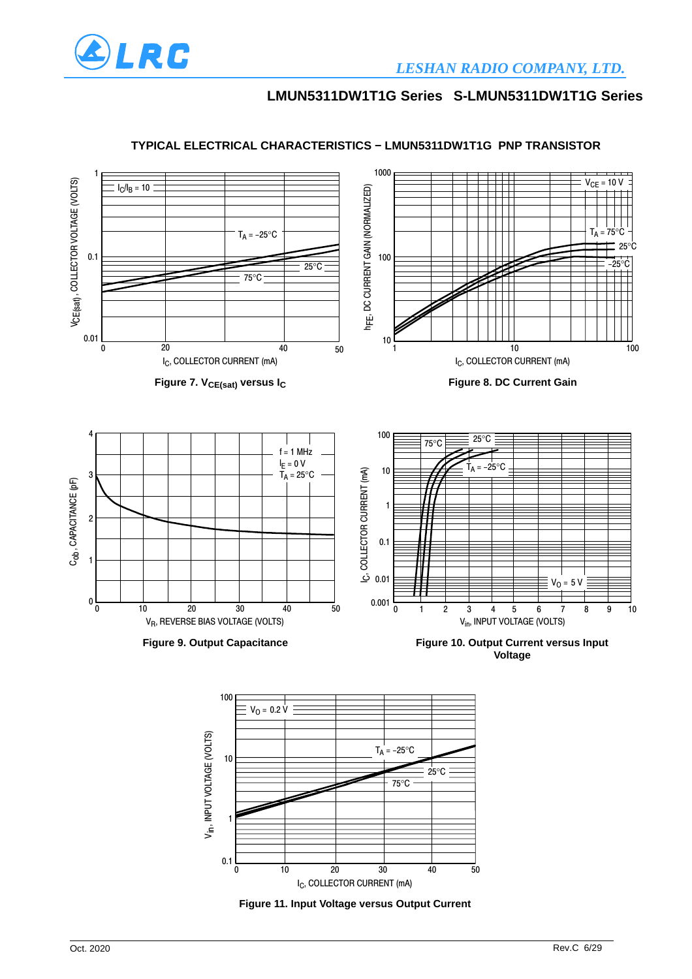



#### **TYPICAL ELECTRICAL CHARACTERISTICS − LMUN5311DW1T1G PNP TRANSISTOR**

**Figure 11. Input Voltage versus Output Current** I<sub>C</sub>, COLLECTOR CURRENT (mA)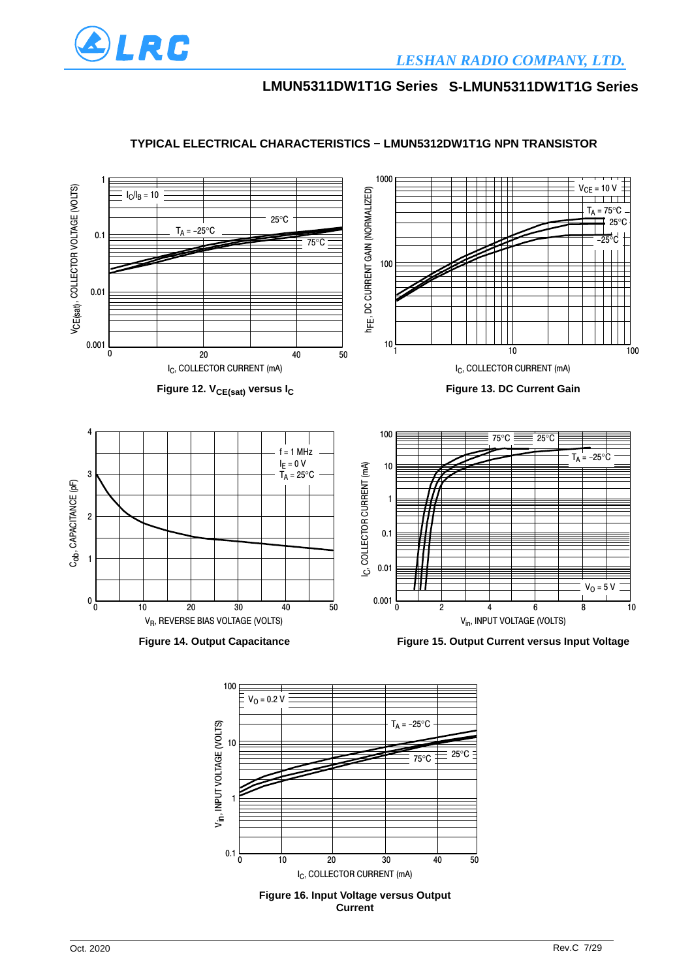



I<sub>C</sub>, COLLECTOR CURRENT (mA)

**Figure 16. Input Voltage versus Output Current**

10 20 30 40 50

### **TYPICAL ELECTRICAL CHARACTERISTICS − LMUN5312DW1T1G NPN TRANSISTOR**

0 0.1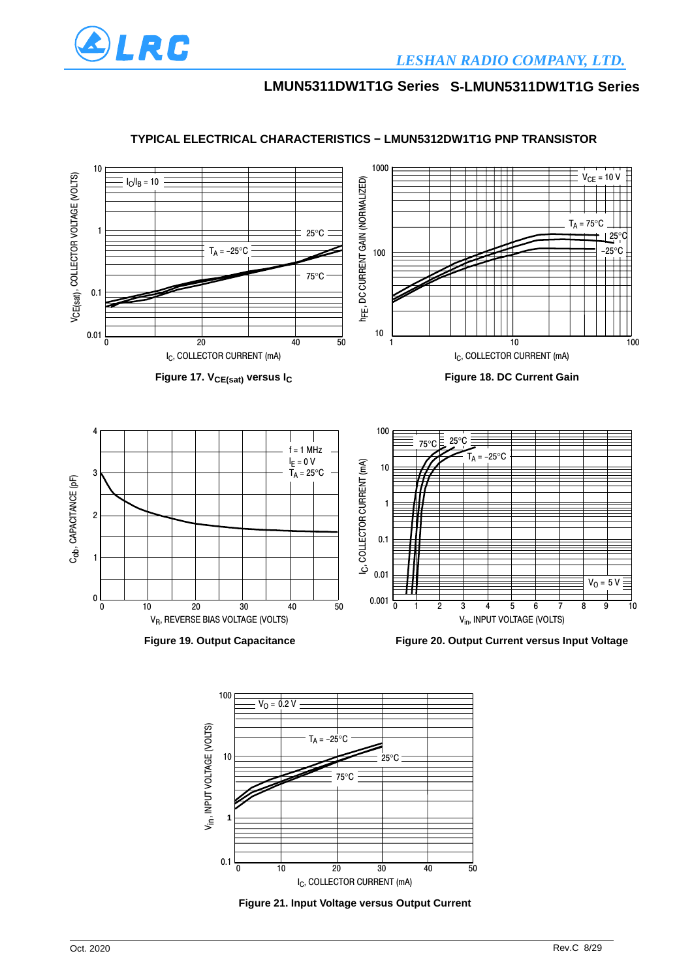



### **TYPICAL ELECTRICAL CHARACTERISTICS − LMUN5312DW1T1G PNP TRANSISTOR**



30

 $\overline{40}$ 

50

 $\overline{20}$ 

 $0.1 \frac{1}{0}$   $10$   $20$   $30$ 

0 10 -

-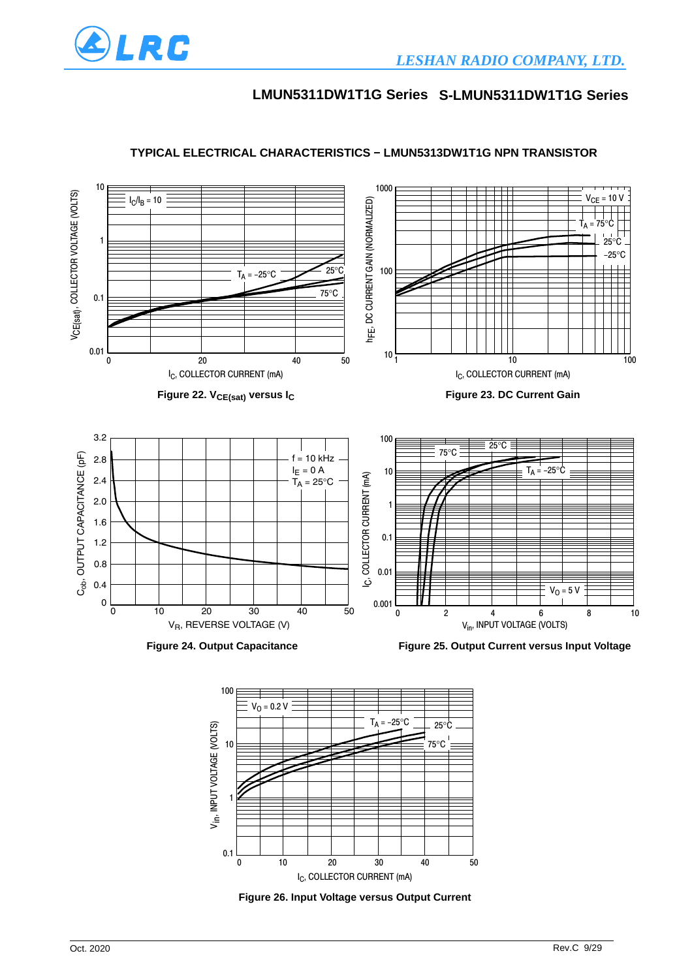



#### **TYPICAL ELECTRICAL CHARACTERISTICS − LMUN5313DW1T1G NPN TRANSISTOR**



**Figure 26. Input Voltage versus Output Current**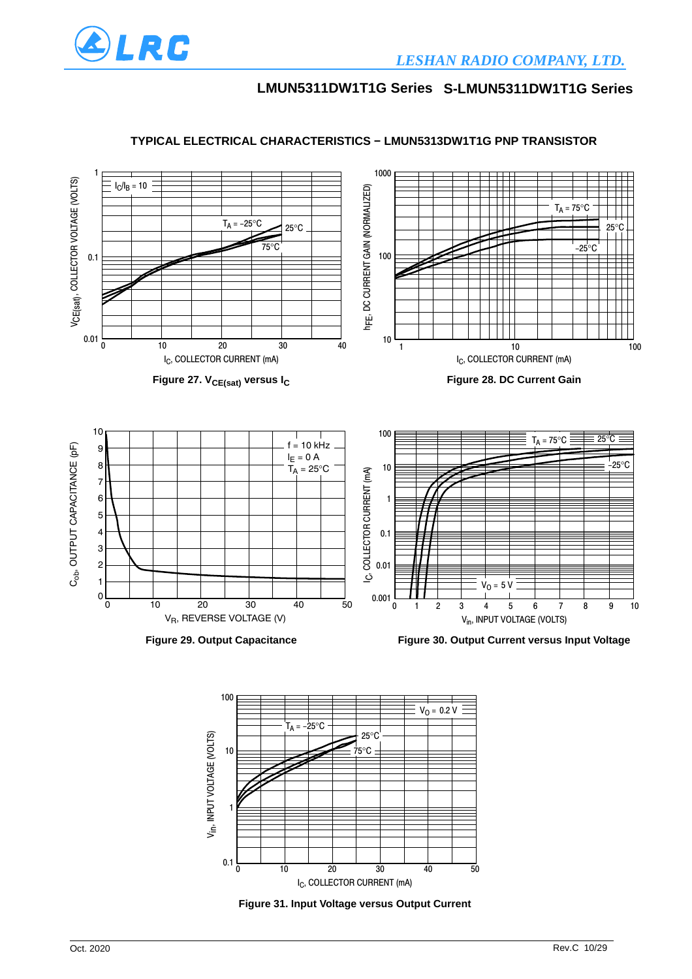



#### **TYPICAL ELECTRICAL CHARACTERISTICS − LMUN5313DW1T1G PNP TRANSISTOR**

**Figure 31. Input Voltage versus Output Current** I<sub>C</sub>, COLLECTOR CURRENT (mA)

 $\overline{30}$ 

40

-50

 $\overline{20}$ 

 $0.1 \overline{0}$  10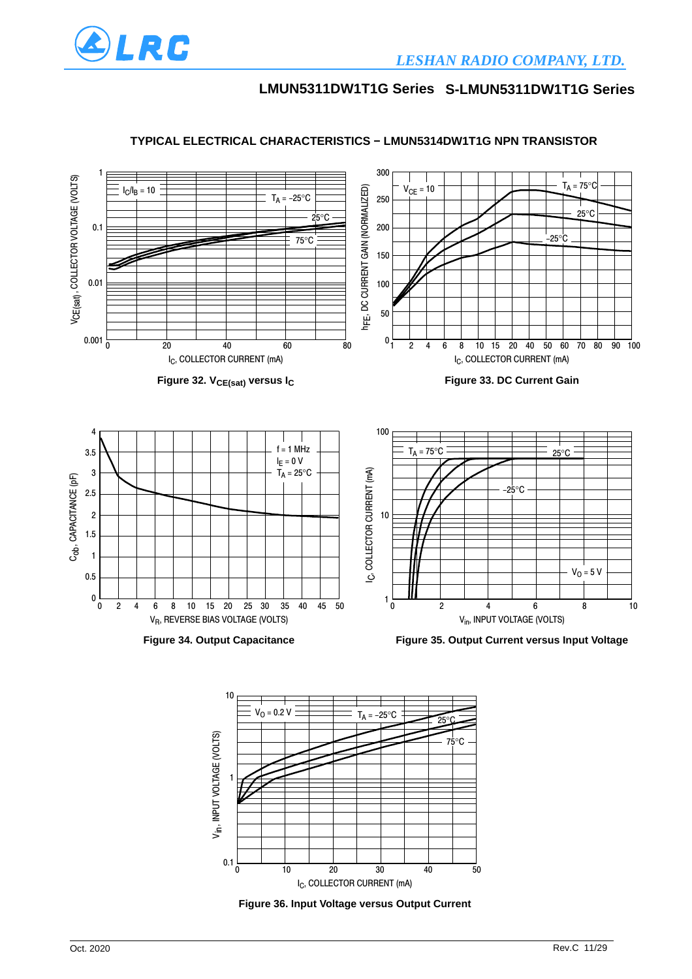



0 10 20 30 40 50

**Figure 36. Input Voltage versus Output Current** I<sub>C</sub>, COLLECTOR CURRENT (mA)

#### **TYPICAL ELECTRICAL CHARACTERISTICS − LMUN5314DW1T1G NPN TRANSISTOR**

 $0.1\frac{L}{0}$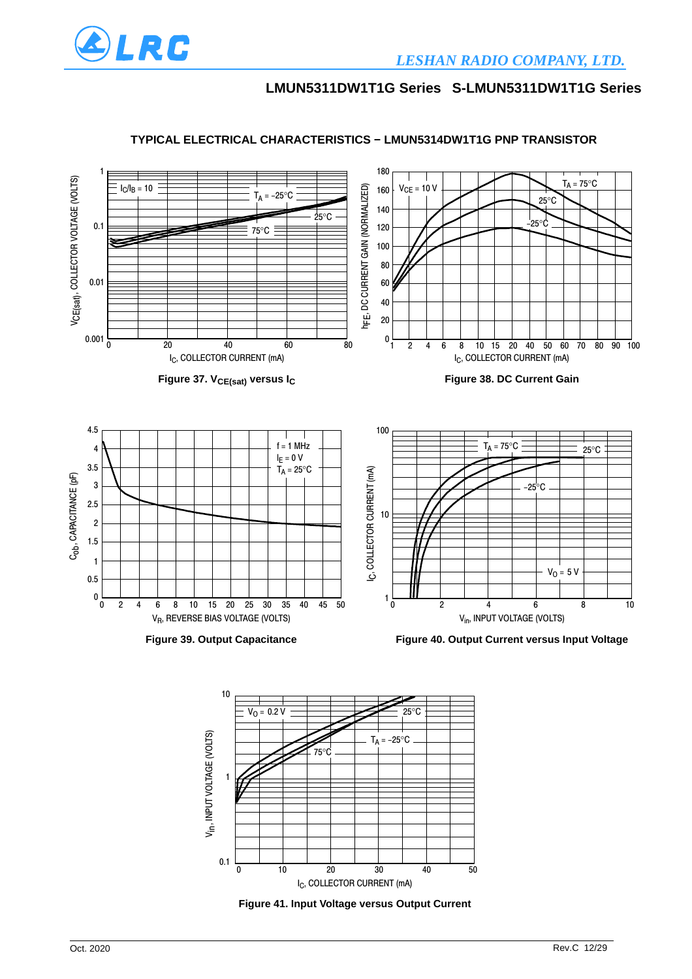



#### **TYPICAL ELECTRICAL CHARACTERISTICS − LMUN5314DW1T1G PNP TRANSISTOR**



**Figure 41. Input Voltage versus Output Current**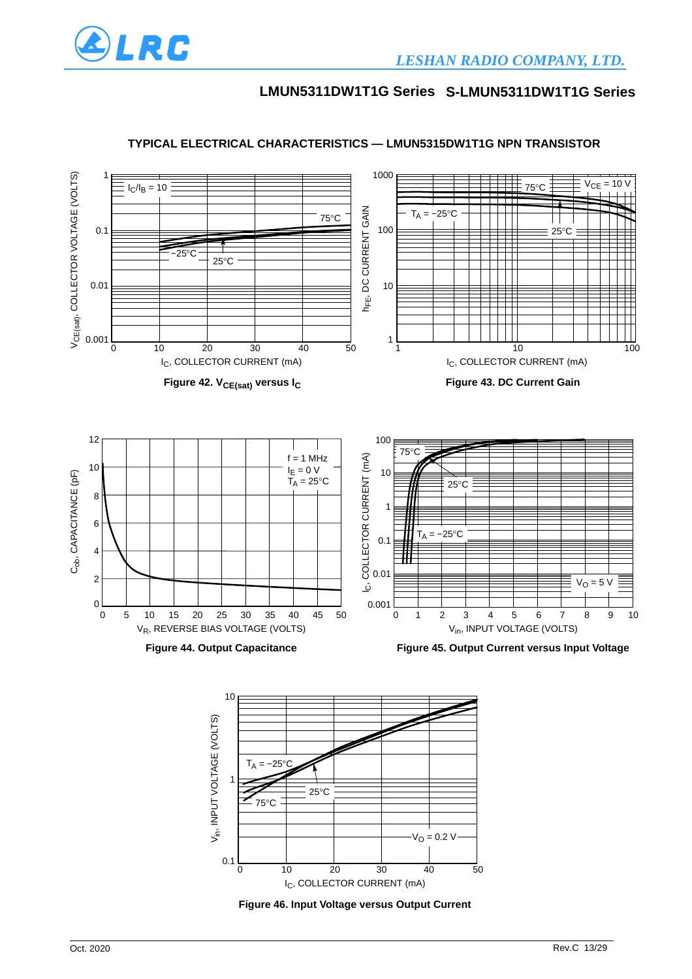



#### **TYPICAL ELECTRICAL CHARACTERISTICS — LMUN5315DW1T1G NPN TRANSISTOR**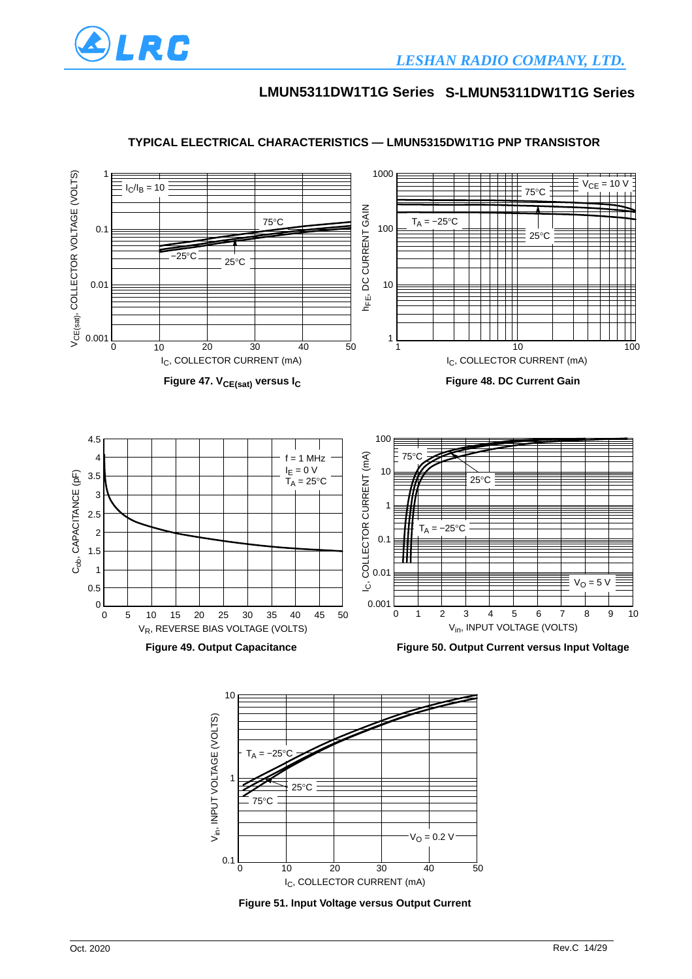



#### **TYPICAL ELECTRICAL CHARACTERISTICS — LMUN5315DW1T1G PNP TRANSISTOR**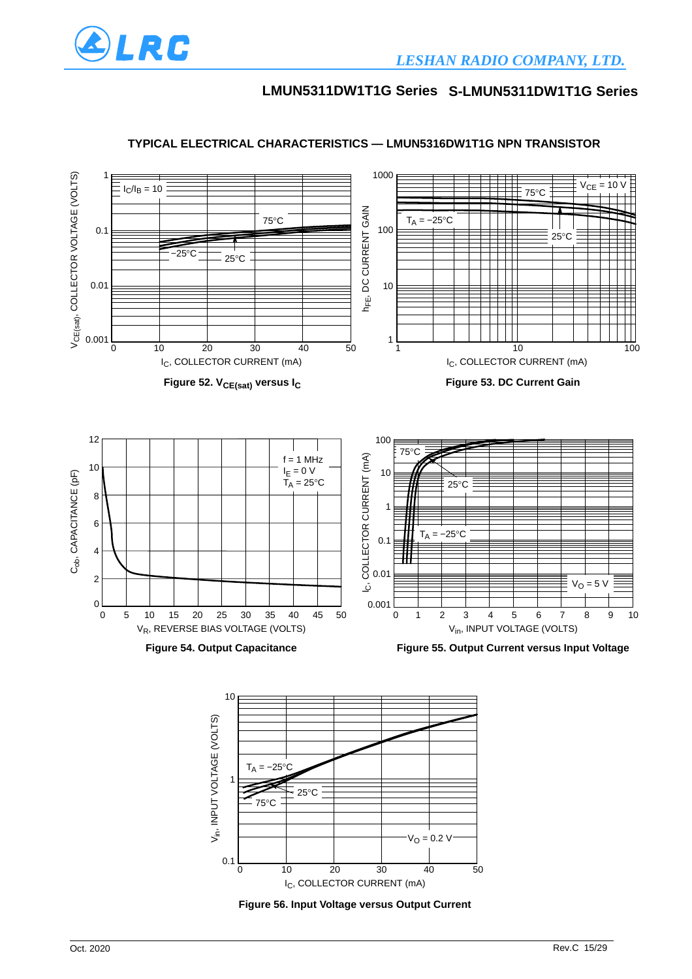



#### **TYPICAL ELECTRICAL CHARACTERISTICS — LMUN5316DW1T1G NPN TRANSISTOR**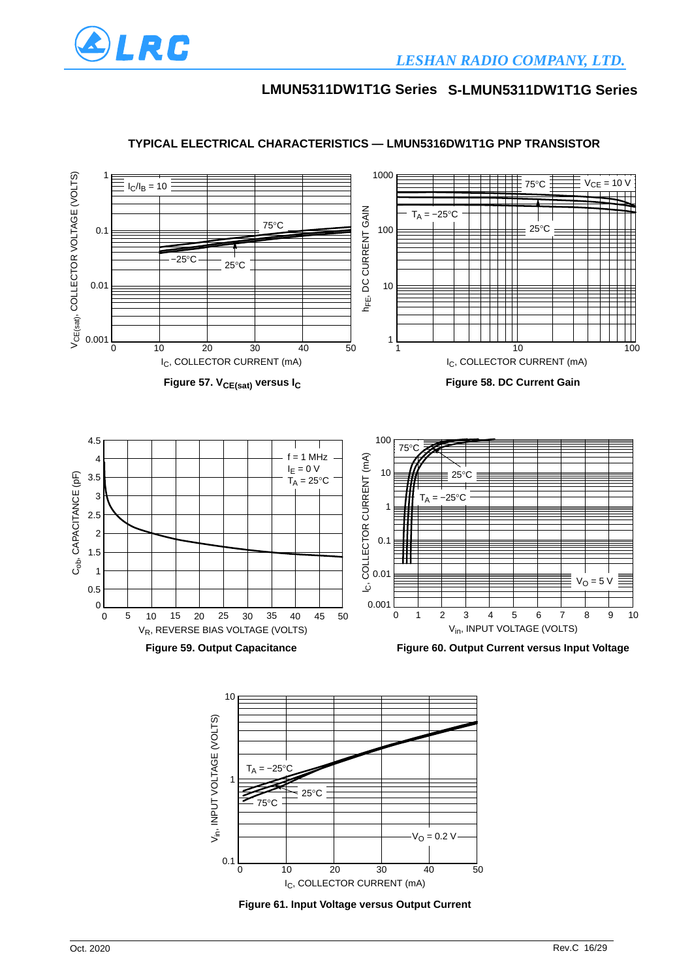



#### **TYPICAL ELECTRICAL CHARACTERISTICS — LMUN5316DW1T1G PNP TRANSISTOR**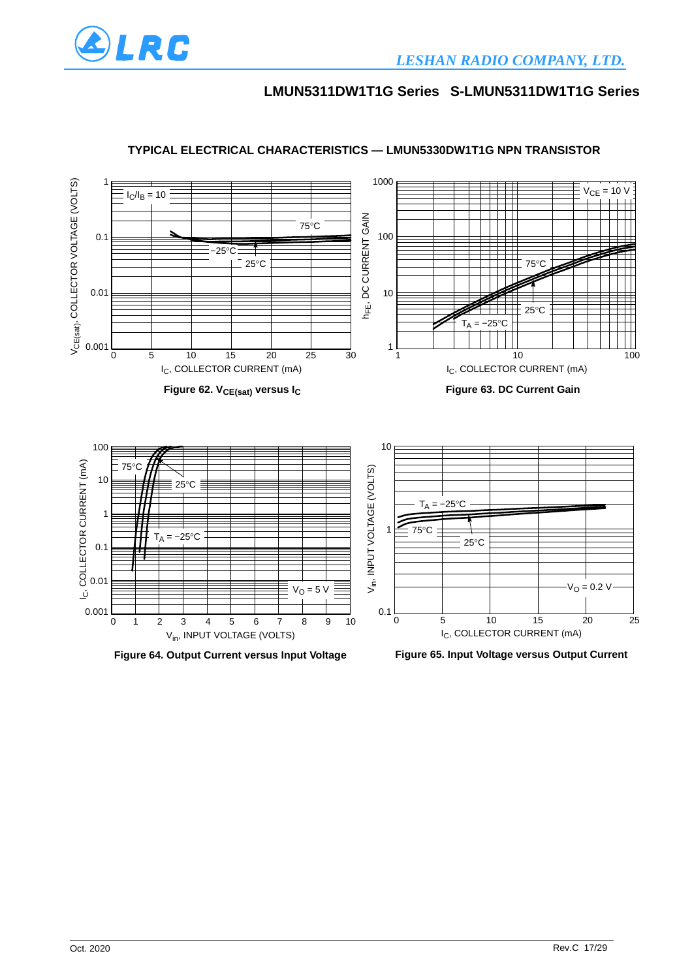



### **TYPICAL ELECTRICAL CHARACTERISTICS — LMUN5330DW1T1G NPN TRANSISTOR**



**Figure 65. Input Voltage versus Output Current**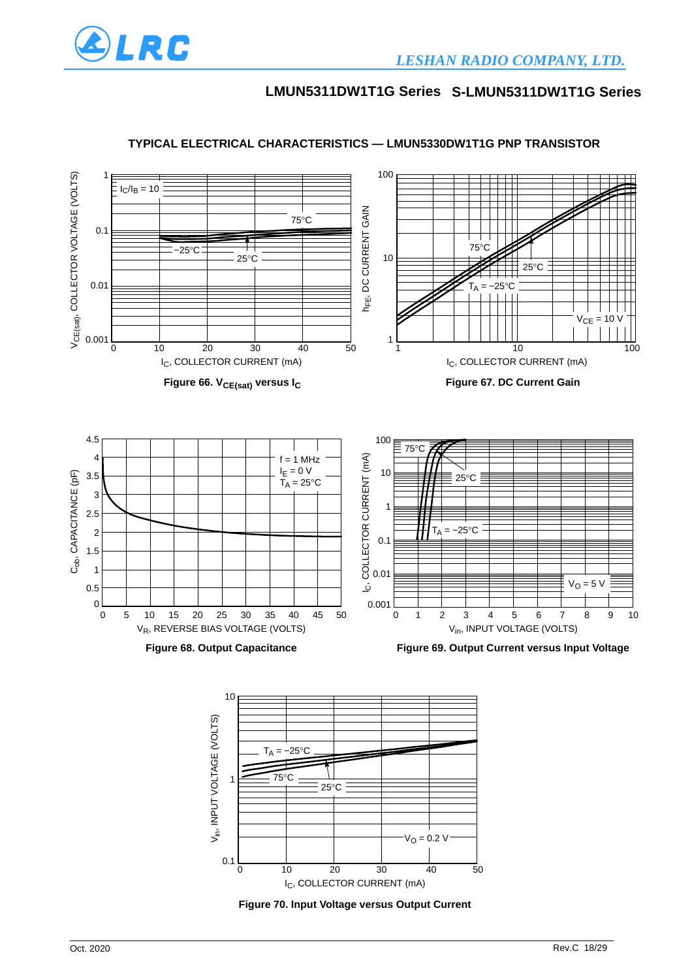



#### **TYPICAL ELECTRICAL CHARACTERISTICS — LMUN5330DW1T1G PNP TRANSISTOR**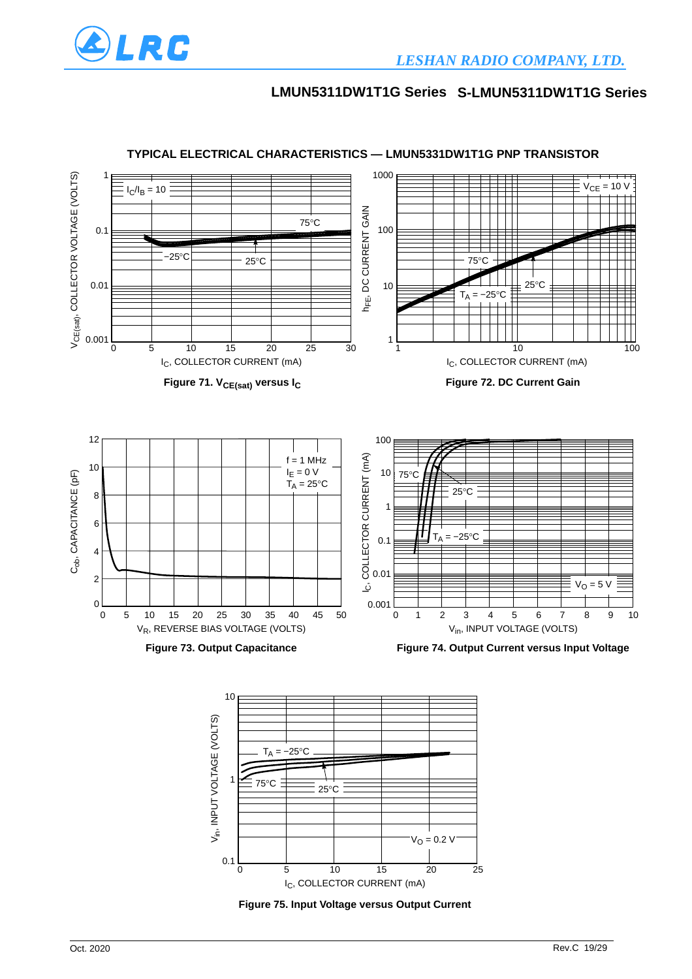



#### **TYPICAL ELECTRICAL CHARACTERISTICS — LMUN5331DW1T1G PNP TRANSISTOR**

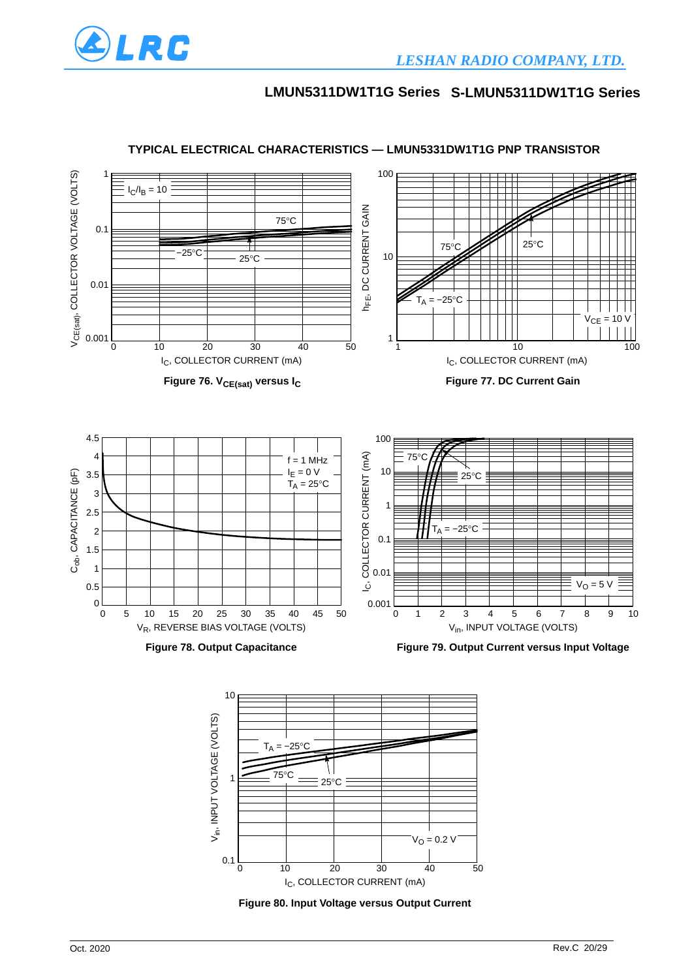



### **TYPICAL ELECTRICAL CHARACTERISTICS — LMUN5331DW1T1G PNP TRANSISTOR**

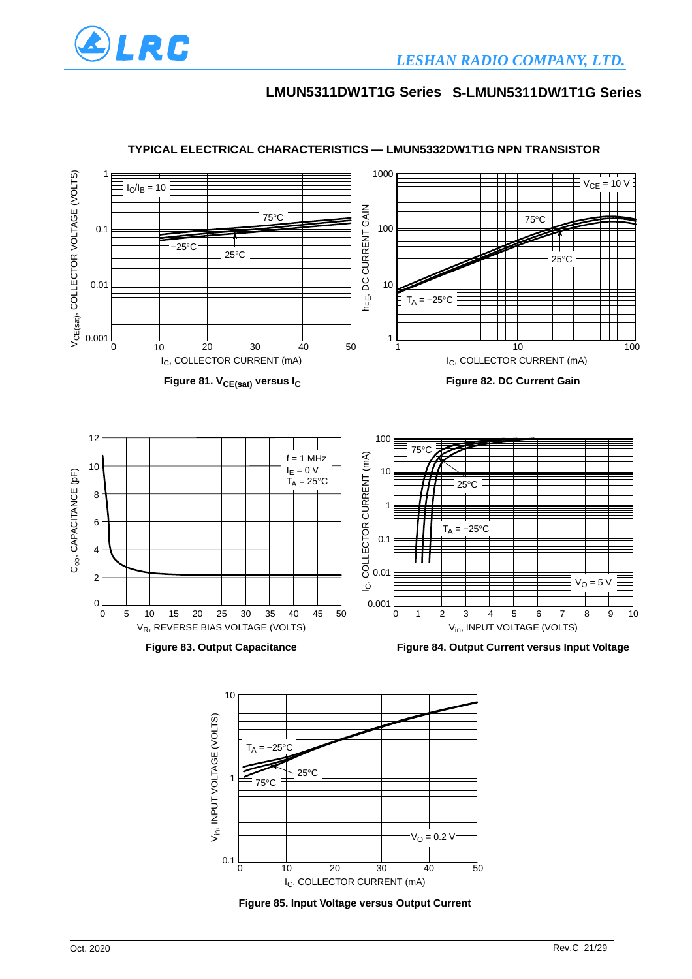



#### **TYPICAL ELECTRICAL CHARACTERISTICS — LMUN5332DW1T1G NPN TRANSISTOR**

**Figure 85. Input Voltage versus Output Current**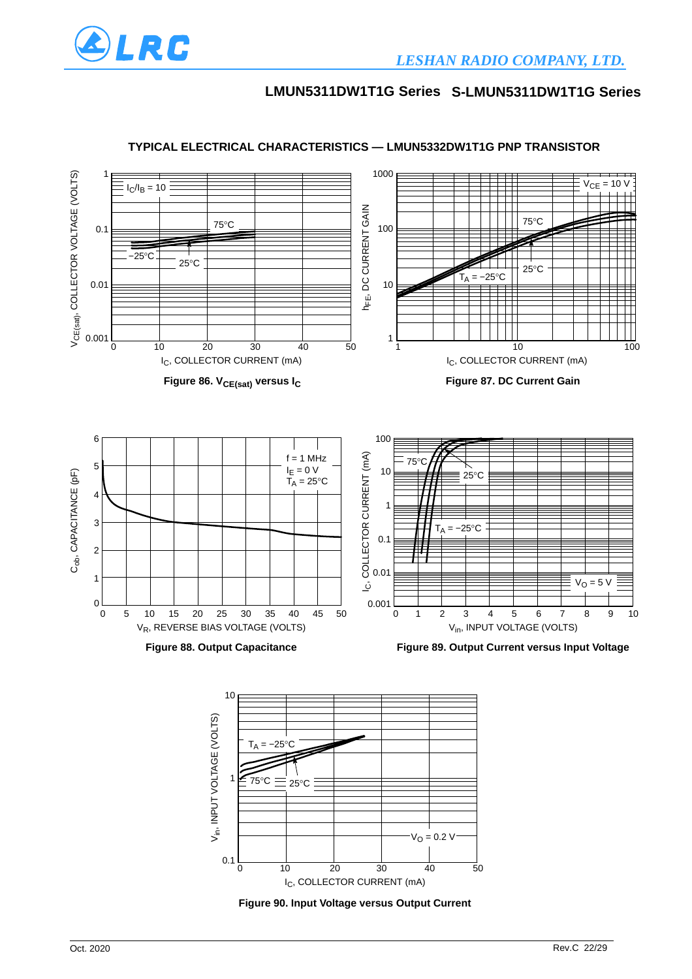



### **TYPICAL ELECTRICAL CHARACTERISTICS — LMUN5332DW1T1G PNP TRANSISTOR**

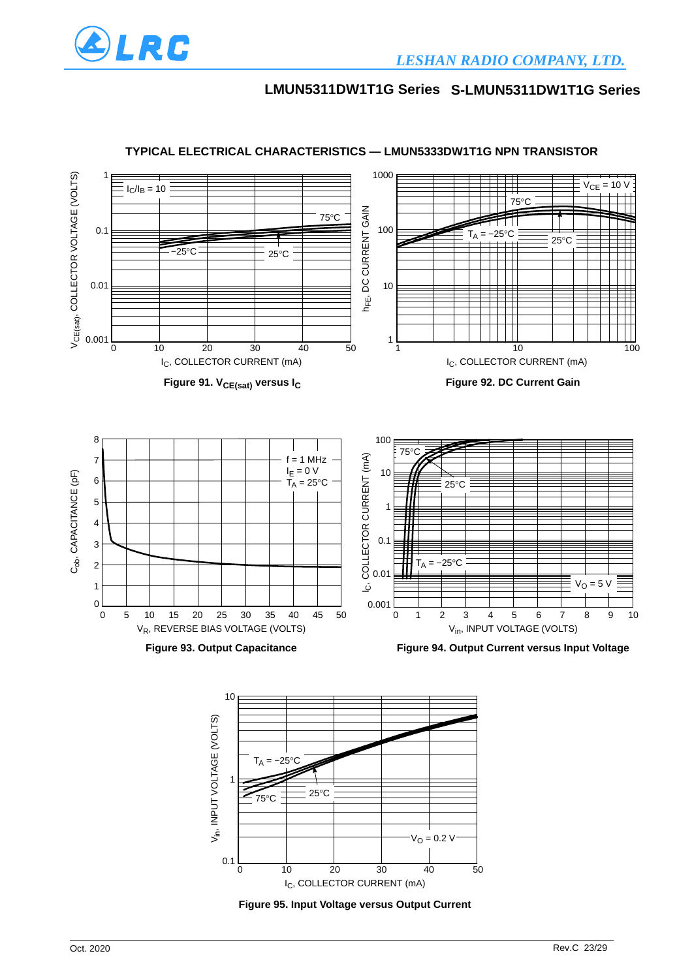



#### **TYPICAL ELECTRICAL CHARACTERISTICS — LMUN5333DW1T1G NPN TRANSISTOR**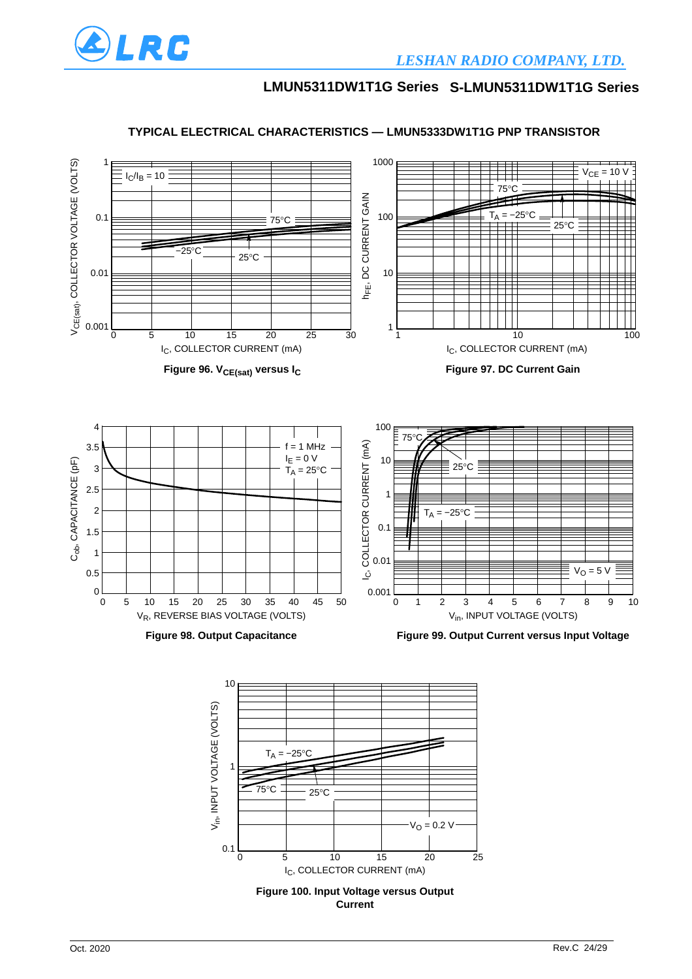

#### **TYPICAL ELECTRICAL CHARACTERISTICS — LMUN5333DW1T1G PNP TRANSISTOR**

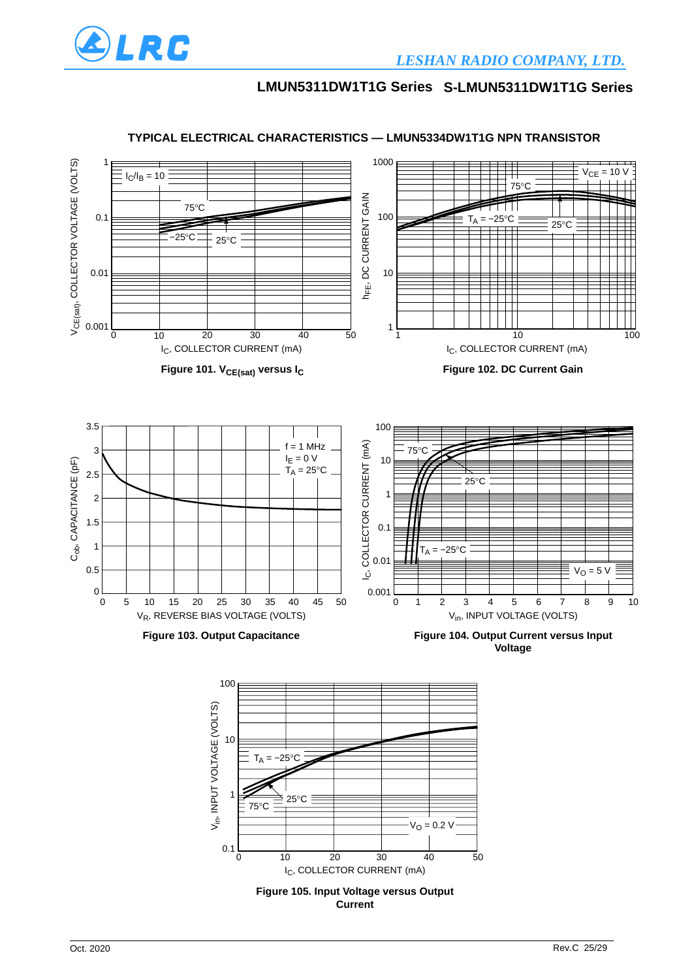



#### **TYPICAL ELECTRICAL CHARACTERISTICS — LMUN5334DW1T1G NPN TRANSISTOR**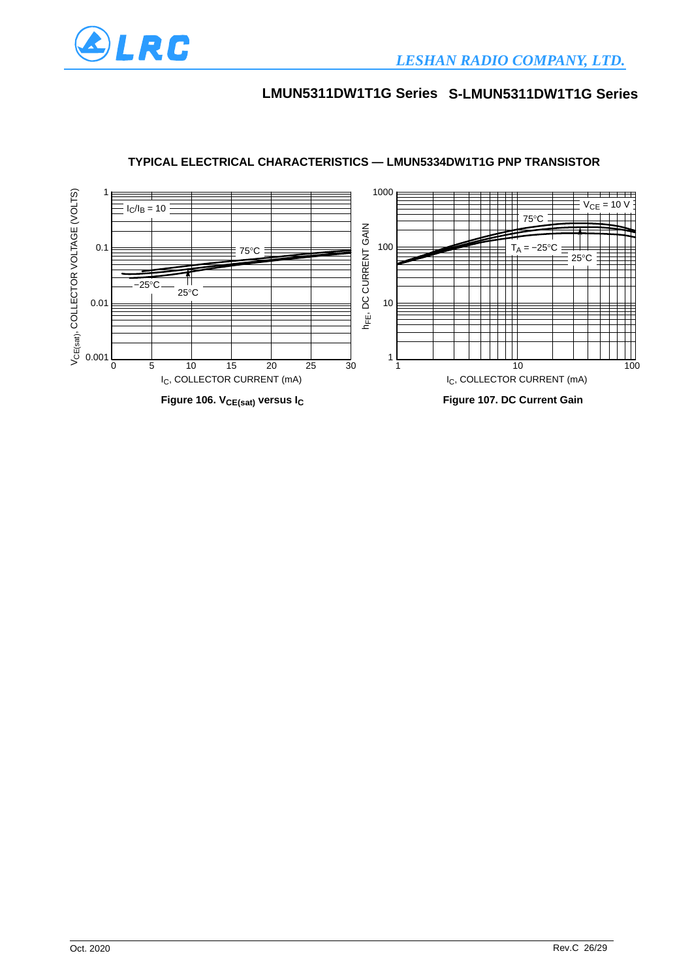



### **TYPICAL ELECTRICAL CHARACTERISTICS — LMUN5334DW1T1G PNP TRANSISTOR**

ALRC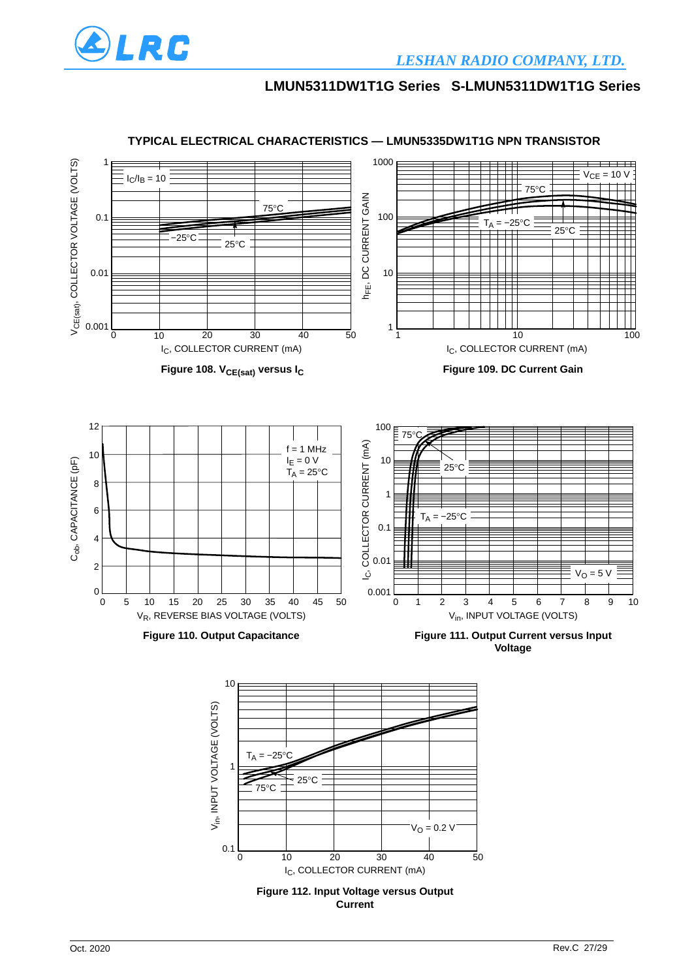



#### **TYPICAL ELECTRICAL CHARACTERISTICS — LMUN5335DW1T1G NPN TRANSISTOR**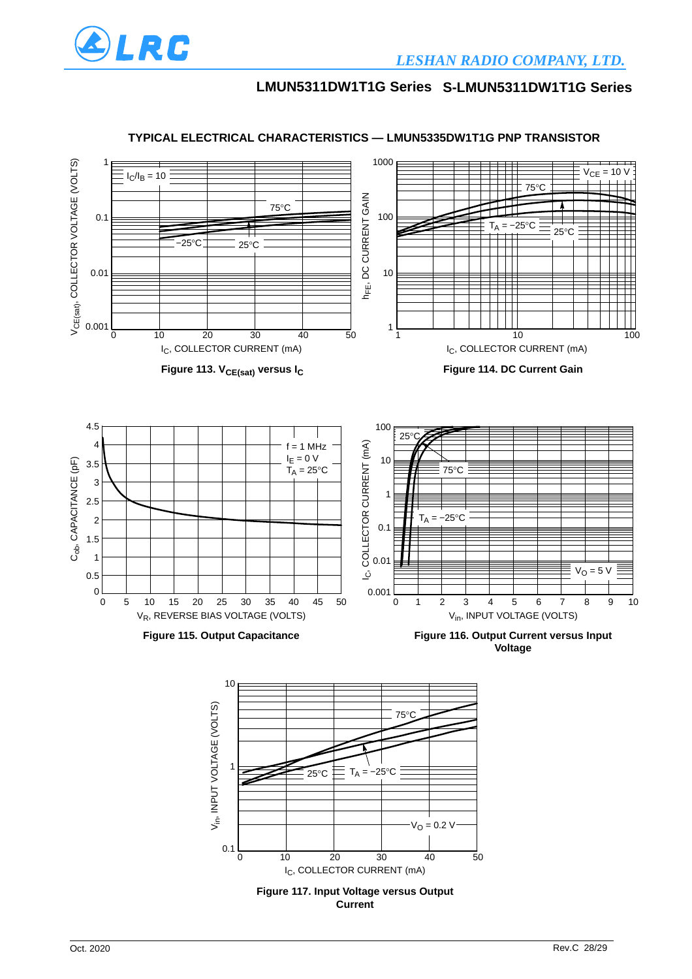



#### **TYPICAL ELECTRICAL CHARACTERISTICS — LMUN5335DW1T1G PNP TRANSISTOR**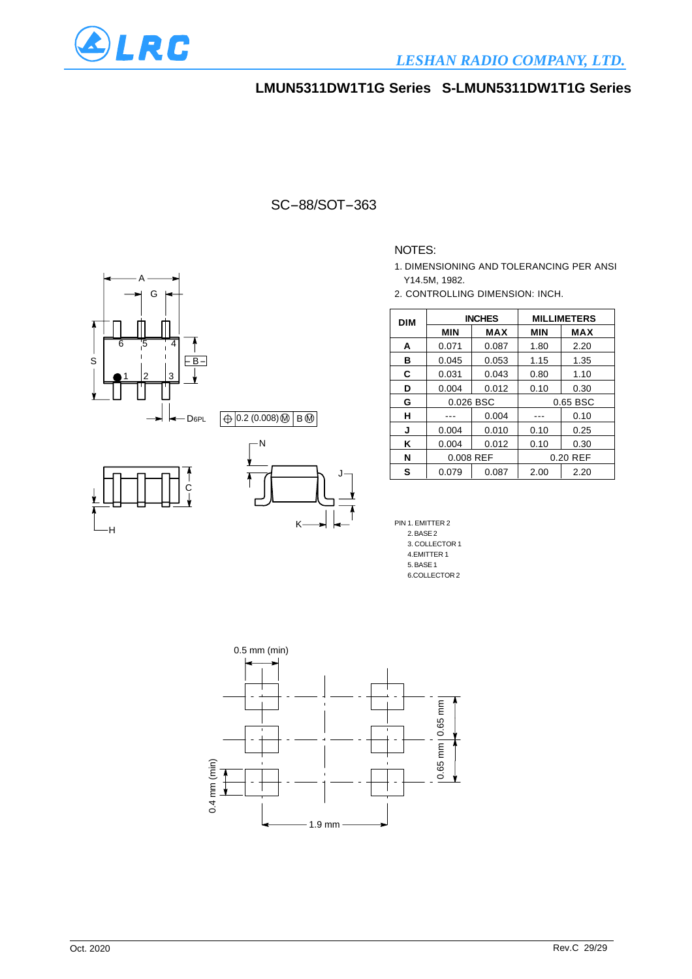

### SC-88/SOT-363

0.2 (0.008)MIBM

K

N

#### NOTES:

- 1. DIMENSIONING AND TOLERANCING PER ANSI Y14.5M, 1982.
- 2. CONTROLLING DIMENSION: INCH.

| <b>DIM</b> |            | <b>INCHES</b> | <b>MILLIMETERS</b> |            |  |
|------------|------------|---------------|--------------------|------------|--|
|            | <b>MIN</b> | <b>MAX</b>    | <b>MIN</b>         | <b>MAX</b> |  |
| A          | 0.071      | 0.087         | 1.80               | 2.20       |  |
| в          | 0.045      | 0.053         | 1.15               | 1.35       |  |
| C          | 0.031      | 0.043         | 0.80               | 1.10       |  |
| D          | 0.004      | 0.012         | 0.10               | 0.30       |  |
| G          | 0.026 BSC  |               |                    | 0.65 BSC   |  |
| н          |            | 0.004         |                    | 0.10       |  |
| J          | 0.004      | 0.010         | 0.10               | 0.25       |  |
| Κ          | 0.004      | 0.012         | 0.10               | 0.30       |  |
| N          | 0.008 REF  |               |                    | 0.20 REF   |  |
| s          | 0.079      | 0.087         | 2.00               | 2.20       |  |

PIN 1. EMITTER 2 2. BASE 2 3. COLLECTOR 1 4.EMITTER 1 5. BASE 1 6.COLLECTOR 2



J

A G 6 5 4 S  $E -$ 1 | 2 | 3 - D<sub>6PL</sub> ╘